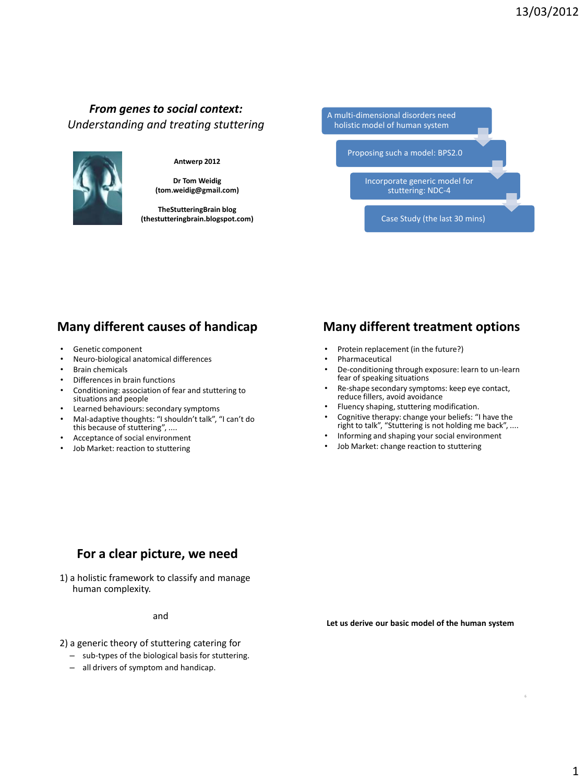#### *From genes to social context: Understanding and treating stuttering*

#### **Antwerp 2012**

**Dr Tom Weidig (tom.weidig@gmail.com)**

**TheStutteringBrain blog (thestutteringbrain.blogspot.com)**



# **Many different causes of handicap**

- Genetic component
- Neuro-biological anatomical differences
- **Brain chemicals**
- Differences in brain functions
- Conditioning: association of fear and stuttering to situations and people
- Learned behaviours: secondary symptoms
- Mal-adaptive thoughts: "I shouldn't talk", "I can't do this because of stuttering", ....
- Acceptance of social environment
- Job Market: reaction to stuttering

#### **Many different treatment options**

- Protein replacement (in the future?)
- **Pharmaceutical**
- De-conditioning through exposure: learn to un-learn fear of speaking situations
- Re-shape secondary symptoms: keep eye contact, reduce fillers, avoid avoidance
- Fluency shaping, stuttering modification.
- Cognitive therapy: change your beliefs: "I have the right to talk", "Stuttering is not holding me back", ....
- Informing and shaping your social environment
- Job Market: change reaction to stuttering

#### **For a clear picture, we need**

1) a holistic framework to classify and manage human complexity.

and

**Let us derive our basic model of the human system**

- 2) a generic theory of stuttering catering for
	- sub-types of the biological basis for stuttering.
	- all drivers of symptom and handicap.

6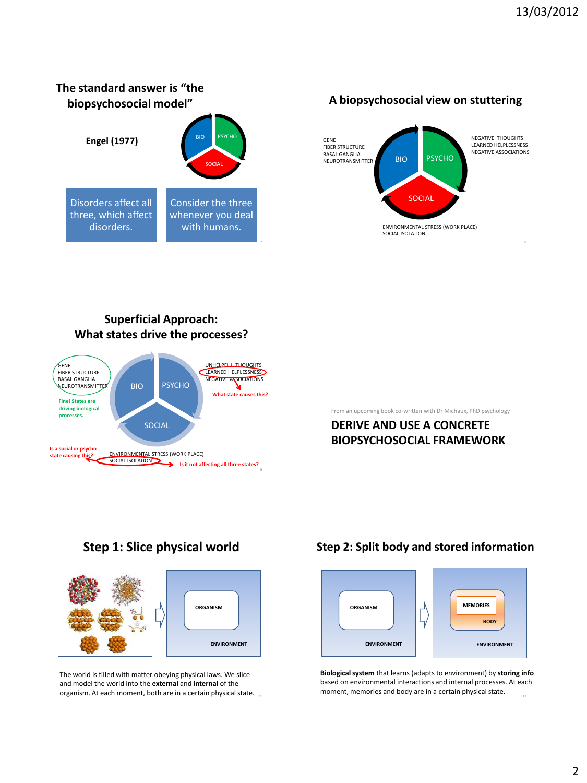#### **The standard answer is "the biopsychosocial model"**



**A biopsychosocial view on stuttering**



#### **Superficial Approach: What states drive the processes?**



From an upcoming book co-written with Dr Michaux, PhD psychology

#### **DERIVE AND USE A CONCRETE BIOPSYCHOSOCIAL FRAMEWORK**

#### **Step 1: Slice physical world**



The world is filled with matter obeying physical laws. We slice and model the world into the **external** and **internal** of the organism. At each moment, both are in a certain physical state.  $\frac{1}{11}$ 

#### **Step 2: Split body and stored information**



**Biological system** that learns (adapts to environment) by **storing info**  based on environmental interactions and internal processes. At each moment, memories and body are in a certain physical state.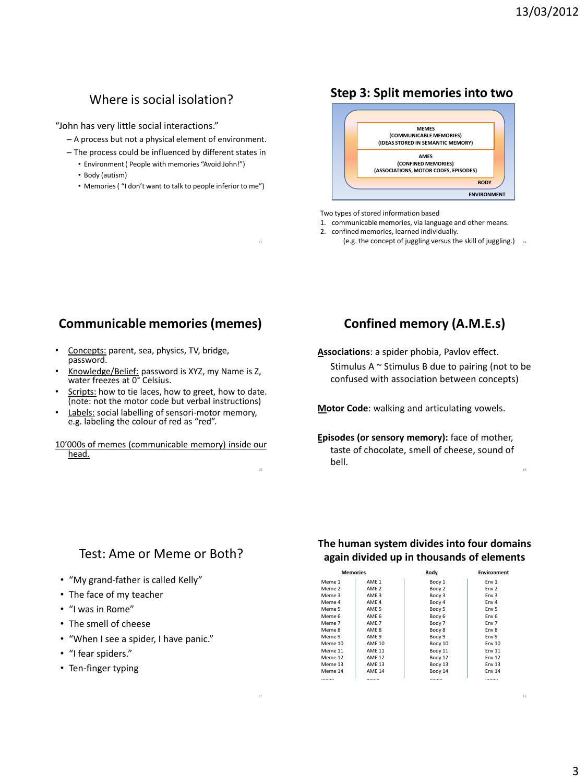# Where is social isolation?

"John has very little social interactions."

- A process but not a physical element of environment.
- The process could be influenced by different states in
	- Environment ( People with memories "Avoid John!")
	- Body (autism)
	- Memories ( "I don't want to talk to people inferior to me")

13

<sub>16</sub>

#### **Step 3: Split memories into two**



Two types of stored information based

1. communicable memories, via language and other means.

- 2. confined memories, learned individually.
	- (e.g. the concept of juggling versus the skill of juggling.)  $_{14}$

#### **Communicable memories (memes)**

- Concepts: parent, sea, physics, TV, bridge, password.
- Knowledge/Belief: password is XYZ, my Name is Z, water freezes at 0° Celsius.
- Scripts: how to tie laces, how to greet, how to date. (note: not the motor code but verbal instructions)
- Labels: social labelling of sensori-motor memory, e.g. labeling the colour of red as "red".
- 10'000s of memes (communicable memory) inside our head.

#### **Confined memory (A.M.E.s)**

**Associations**: a spider phobia, Pavlov effect.

Stimulus A  $\sim$  Stimulus B due to pairing (not to be confused with association between concepts)

**Motor Code**: walking and articulating vowels.

**Episodes (or sensory memory):** face of mother, taste of chocolate, smell of cheese, sound of bell.

#### Test: Ame or Meme or Both?

- "My grand-father is called Kelly"
- The face of my teacher
- "I was in Rome"
- The smell of cheese
- "When I see a spider, I have panic."
- "I fear spiders."
- Ten-finger typing

#### **The human system divides into four domains again divided up in thousands of elements**

|         | <b>Memories</b>  | Body    | <b>Environment</b> |
|---------|------------------|---------|--------------------|
| Meme 1  | AMF <sub>1</sub> | Body 1  | Fny 1              |
| Meme 2  | AMF <sub>2</sub> | Body 2  | Fny 2              |
| Meme 3  | AME <sub>3</sub> | Body 3  | Env <sub>3</sub>   |
| Meme 4  | AMF <sub>4</sub> | Body 4  | Fny 4              |
| Meme 5  | AME 5            | Body 5  | Env <sub>5</sub>   |
| Meme 6  | AME <sub>6</sub> | Body 6  | Env <sub>6</sub>   |
| Meme 7  | AME <sub>7</sub> | Body 7  | Env 7              |
| Meme 8  | AME 8            | Body 8  | Env 8              |
| Meme 9  | AME <sub>9</sub> | Body 9  | Env 9              |
| Meme 10 | <b>AMF10</b>     | Body 10 | Fny 10             |
| Meme 11 | <b>AMF11</b>     | Body 11 | Fny 11             |
| Meme 12 | <b>AME 12</b>    | Body 12 | Env 12             |
| Meme 13 | <b>AME 13</b>    | Body 13 | <b>Fnv 13</b>      |
| Meme 14 | <b>AME 14</b>    | Body 14 | <b>Env 14</b>      |
|         |                  |         |                    |

16

18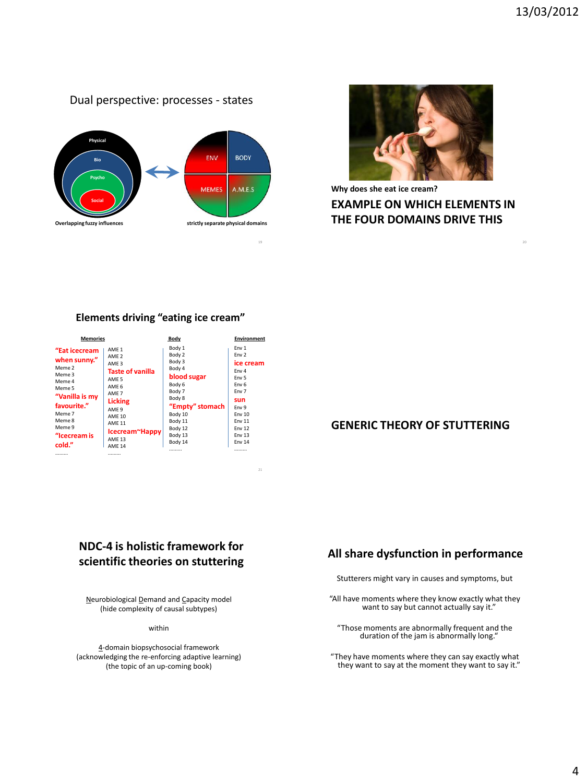#### Dual perspective: processes - states





**EXAMPLE ON WHICH ELEMENTS IN THE FOUR DOMAINS DRIVE THIS Why does she eat ice cream?**

#### **Elements driving "eating ice cream"**

| <b>Memories</b>                                                                                                                                                |                                                                                                                                                                                                                                                                              | Body                                                                                                                                                            | <b>Environment</b>                                                                                                                    |
|----------------------------------------------------------------------------------------------------------------------------------------------------------------|------------------------------------------------------------------------------------------------------------------------------------------------------------------------------------------------------------------------------------------------------------------------------|-----------------------------------------------------------------------------------------------------------------------------------------------------------------|---------------------------------------------------------------------------------------------------------------------------------------|
| "Eat icecream<br>when sunny."<br>Meme 2<br>Meme 3<br>Meme 4<br>Meme 5<br>"Vanilla is my<br>favourite."<br>Meme 7<br>Meme 8<br>Meme 9<br>"Icecream is<br>cold." | AMF <sub>1</sub><br>AMF <sub>2</sub><br>AMF <sub>3</sub><br><b>Taste of vanilla</b><br>AMF <sub>5</sub><br>AMF 6<br>AMF <sub>7</sub><br><b>Licking</b><br>AMF <sub>9</sub><br><b>AMF 10</b><br>AMF <sub>11</sub><br>Icecream~Happy<br><b>AMF 13</b><br>AMF <sub>14</sub><br> | Body 1<br>Body 2<br>Body 3<br>Body 4<br>blood sugar<br>Body 6<br>Body 7<br>Body 8<br>"Empty" stomach<br>Body 10<br>Body 11<br>Body 12<br>Body 13<br>Body 14<br> | Env 1<br>Fny 2<br>ice cream<br>Fny 4<br>Fny 5<br>Fny 6<br>Fny 7<br>sun<br>Fny 9<br>Fny 10<br>Fny 11<br>Fny 12<br>Env 13<br>Fny 14<br> |

21

#### **GENERIC THEORY OF STUTTERING**

#### **NDC-4 is holistic framework for scientific theories on stuttering**

Neurobiological Demand and Capacity model (hide complexity of causal subtypes)

within

4-domain biopsychosocial framework (acknowledging the re-enforcing adaptive learning) (the topic of an up-coming book)

#### **All share dysfunction in performance**

Stutterers might vary in causes and symptoms, but

"All have moments where they know exactly what they want to say but cannot actually say it."

"Those moments are abnormally frequent and the duration of the jam is abnormally long."

"They have moments where they can say exactly what they want to say at the moment they want to say it."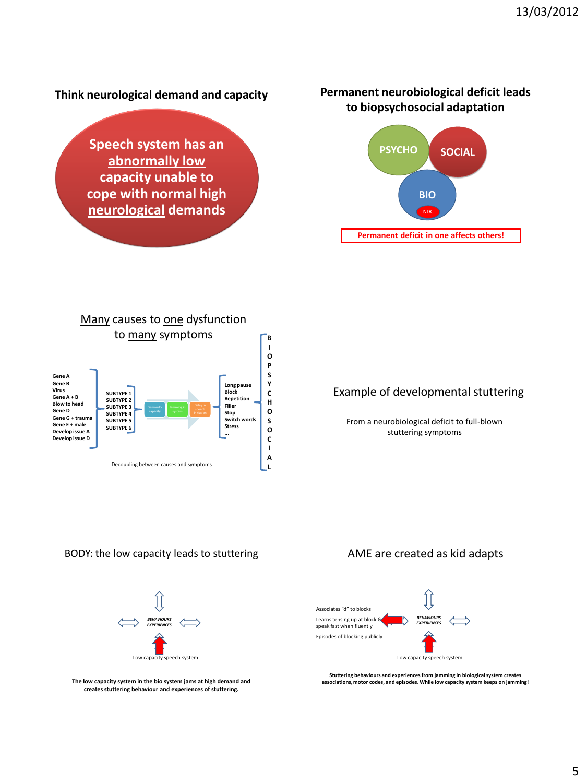# **Think neurological demand and capacity Speech system has an abnormally low capacity unable to cope with normal high**

**neurological demands**

#### **Permanent neurobiological deficit leads to biopsychosocial adaptation**





#### Example of developmental stuttering

From a neurobiological deficit to full-blown stuttering symptoms

BODY: the low capacity leads to stuttering



**The low capacity system in the bio system jams at high demand and creates stuttering behaviour and experiences of stuttering.**

#### AME are created as kid adapts



**Stuttering behaviours and experiences from jamming in biological system creates associations, motor codes, and episodes. While low capacity system keeps on jamming!**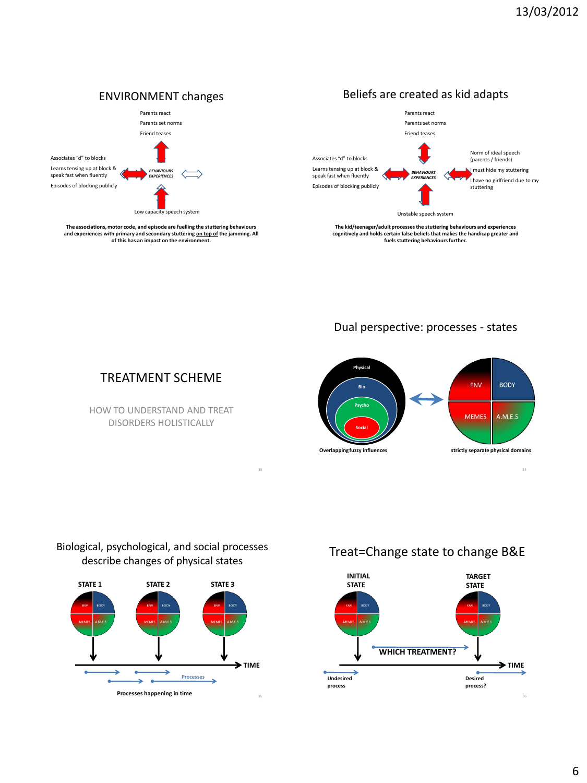Norm of ideal speech (parents / friends). must hide my stuttering I have no girlfriend due to my

stuttering



33



**fuels stuttering behaviours further.**



#### TREATMENT SCHEME

**of this has an impact on the environment.**

HOW TO UNDERSTAND AND TREAT DISORDERS HOLISTICALLY

#### Biological, psychological, and social processes describe changes of physical states



#### Treat=Change state to change B&E

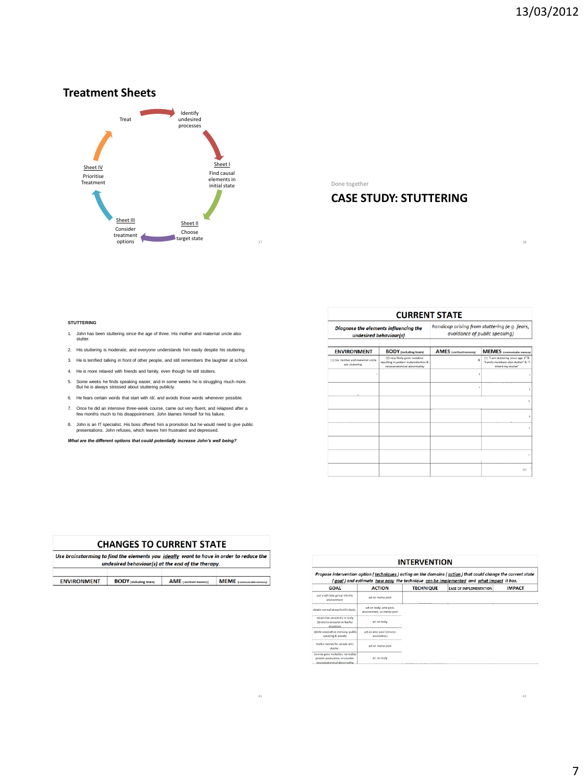38

#### **Treatment Sheets**



Done together

#### **CASE STUDY: STUTTERING**

#### **STUTTERING**

- 1. John has been stuttering since the age of three. His mother and maternal uncle also stutter.
- 2. His stuttering is moderate, and everyone understands him easily despite his stuttering.
- 3. He is terrified talking in front of other people, and still remembers the laughter at school.
- 4. He is more relaxed with friends and family, even though he still stutters.
- 5. Some weeks he finds speaking easier, and in some weeks he is struggling much more. But he is always stressed about stuttering publicly.
- 6. He fears certain words that start with /d/, and avoids those words whenever possible.
- 7. Once he did an intensive three-week course, came out very fluent, and relapsed after a few months much to his disappointment. John blames himself for his failure.
- 8. John is an IT specialist. His boss offered him a promotion but he would need to give public presentations. John refuses, which leaves him frustrated and depressed.

*What are the different options that could potentially increase John's well being?*

| <b>CURRENT STATE</b>                                                       |                                                                                                                                       |                                                                                |                                                                                                                                        |  |  |
|----------------------------------------------------------------------------|---------------------------------------------------------------------------------------------------------------------------------------|--------------------------------------------------------------------------------|----------------------------------------------------------------------------------------------------------------------------------------|--|--|
|                                                                            | Diagnose the elements influencing the<br>undesired behaviour(s)                                                                       | handicap arising from stuttering (e.g. fears,<br>avoidance of public speaking) |                                                                                                                                        |  |  |
|                                                                            |                                                                                                                                       |                                                                                |                                                                                                                                        |  |  |
| <b>ENVIRONMENT</b><br>(1) his mother and maternal uncle<br>are stuttering. | <b>BODY</b> (including brain)<br>(1) very likely gene mutation<br>resulting in protein malproduction &<br>neuroanatomical abnormality | <b>AMES</b> (confined memory)<br>š,                                            | <b>MEMES</b> (communicable memory)<br>(1) 'I am stuttering since age 3" &<br>"Family members also stutter" & "I<br>inherit my stutter" |  |  |
|                                                                            |                                                                                                                                       |                                                                                |                                                                                                                                        |  |  |
|                                                                            |                                                                                                                                       |                                                                                |                                                                                                                                        |  |  |
|                                                                            |                                                                                                                                       |                                                                                |                                                                                                                                        |  |  |
|                                                                            |                                                                                                                                       |                                                                                |                                                                                                                                        |  |  |
|                                                                            |                                                                                                                                       |                                                                                |                                                                                                                                        |  |  |
|                                                                            |                                                                                                                                       |                                                                                |                                                                                                                                        |  |  |
|                                                                            |                                                                                                                                       |                                                                                | ī.                                                                                                                                     |  |  |
|                                                                            |                                                                                                                                       |                                                                                | 40                                                                                                                                     |  |  |

#### **CHANGES TO CURRENT STATE**

| Use brainstorming to find the elements you ideally want to have in order to reduce the |                               |                       |                                                   |
|----------------------------------------------------------------------------------------|-------------------------------|-----------------------|---------------------------------------------------|
|                                                                                        |                               |                       |                                                   |
|                                                                                        |                               |                       |                                                   |
| <b>ENVIRONMENT</b>                                                                     | <b>BODY</b> (including brain) | AME (confined memory) | <b>MEME</b> (communicable memory)                 |
|                                                                                        |                               |                       |                                                   |
|                                                                                        |                               |                       | undesired behaviour(s) at the end of the therapy. |

41

| <b>INTERVENTION</b><br>Propose intervention option (techniques) acting on the domains (action) that could change the current state<br>(goal) and estimate how easy the technique can be implemented and what impact it has. |                                                     |  |  |             |
|-----------------------------------------------------------------------------------------------------------------------------------------------------------------------------------------------------------------------------|-----------------------------------------------------|--|--|-------------|
|                                                                                                                                                                                                                             |                                                     |  |  | <b>GOAL</b> |
| put a self-help group into his<br>equironment                                                                                                                                                                               | act on meme pool                                    |  |  |             |
| obtain normal stress level in body                                                                                                                                                                                          | act on body, ame pool.<br>environment, or meme pool |  |  |             |
| obtain low sensitivity in body<br>(brain) to stressful or fearful<br>situations                                                                                                                                             | act on body                                         |  |  |             |
| delete associative memory: public<br>speaking & anxiety                                                                                                                                                                     | act on ame pool (remove<br>association)             |  |  |             |
| Useful memes for people who<br>stutter.                                                                                                                                                                                     | act on meme pool                                    |  |  |             |
| reverse gene mutation, normalise<br>protein production, or counter<br>neuroanatomical abnormality                                                                                                                           | act on body                                         |  |  |             |

42